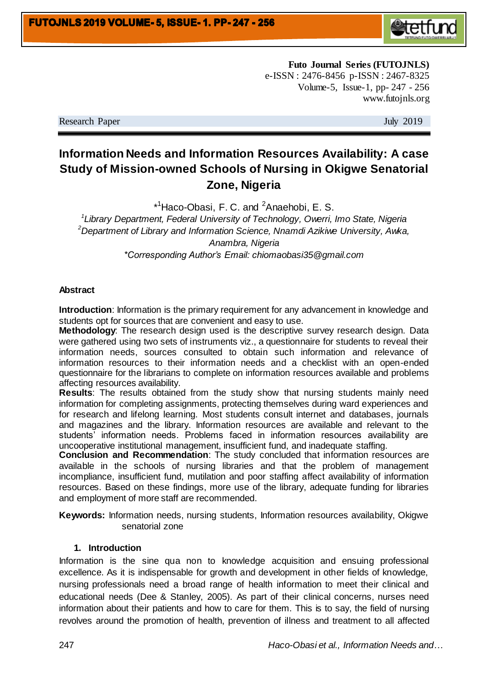

**Futo Journal Series (FUTOJNLS)** e-ISSN : 2476-8456 p-ISSN : 2467-8325 Volume-5, Issue-1, pp- 247 - 256 www.futojnls.org

Research Paper July 2019

# **Information Needs and Information Resources Availability: A case Study of Mission-owned Schools of Nursing in Okigwe Senatorial Zone, Nigeria**

\*<sup>1</sup>Haco-Obasi, F. C. and <sup>2</sup>Anaehobi, E. S.

*1 Library Department, Federal University of Technology, Owerri, Imo State, Nigeria <sup>2</sup>Department of Library and Information Science, Nnamdi Azikiwe University, Awka, Anambra, Nigeria \*Corresponding Author's Email: chiomaobasi35@gmail.com*

#### **Abstract**

**Introduction**: Information is the primary requirement for any advancement in knowledge and students opt for sources that are convenient and easy to use.

**Methodology**: The research design used is the descriptive survey research design. Data were gathered using two sets of instruments viz., a questionnaire for students to reveal their information needs, sources consulted to obtain such information and relevance of information resources to their information needs and a checklist with an open-ended questionnaire for the librarians to complete on information resources available and problems affecting resources availability.

**Results**: The results obtained from the study show that nursing students mainly need information for completing assignments, protecting themselves during ward experiences and for research and lifelong learning. Most students consult internet and databases, journals and magazines and the library. Information resources are available and relevant to the students' information needs. Problems faced in information resources availability are uncooperative institutional management, insufficient fund, and inadequate staffing.

**Conclusion and Recommendation**: The study concluded that information resources are available in the schools of nursing libraries and that the problem of management incompliance, insufficient fund, mutilation and poor staffing affect availability of information resources. Based on these findings, more use of the library, adequate funding for libraries and employment of more staff are recommended.

**Keywords:** Information needs, nursing students, Information resources availability, Okigwe senatorial zone

#### **1. Introduction**

Information is the sine qua non to knowledge acquisition and ensuing professional excellence. As it is indispensable for growth and development in other fields of knowledge, nursing professionals need a broad range of health information to meet their clinical and educational needs (Dee & Stanley, 2005). As part of their clinical concerns, nurses need information about their patients and how to care for them. This is to say, the field of nursing revolves around the promotion of health, prevention of illness and treatment to all affected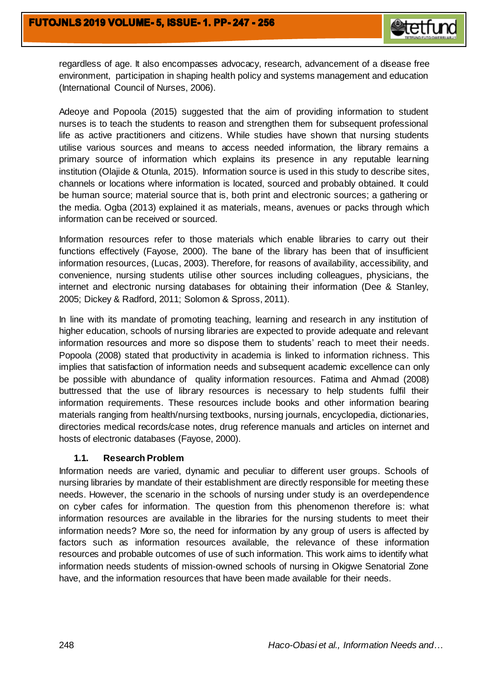

regardless of age. It also encompasses advocacy, research, advancement of a disease free environment, participation in shaping health policy and systems management and education (International Council of Nurses, 2006).

Adeoye and Popoola (2015) suggested that the aim of providing information to student nurses is to teach the students to reason and strengthen them for subsequent professional life as active practitioners and citizens. While studies have shown that nursing students utilise various sources and means to access needed information, the library remains a primary source of information which explains its presence in any reputable learning institution (Olajide & Otunla, 2015). Information source is used in this study to describe sites, channels or locations where information is located, sourced and probably obtained. It could be human source; material source that is, both print and electronic sources; a gathering or the media. Ogba (2013) explained it as materials, means, avenues or packs through which information can be received or sourced.

Information resources refer to those materials which enable libraries to carry out their functions effectively (Fayose, 2000). The bane of the library has been that of insufficient information resources, (Lucas, 2003). Therefore, for reasons of availability, accessibility, and convenience, nursing students utilise other sources including colleagues, physicians, the internet and electronic nursing databases for obtaining their information (Dee & Stanley, 2005; Dickey & Radford, 2011; Solomon & Spross, 2011).

In line with its mandate of promoting teaching, learning and research in any institution of higher education, schools of nursing libraries are expected to provide adequate and relevant information resources and more so dispose them to students' reach to meet their needs. Popoola (2008) stated that productivity in academia is linked to information richness. This implies that satisfaction of information needs and subsequent academic excellence can only be possible with abundance of quality information resources. Fatima and Ahmad (2008) buttressed that the use of library resources is necessary to help students fulfil their information requirements. These resources include books and other information bearing materials ranging from health/nursing textbooks, nursing journals, encyclopedia, dictionaries, directories medical records/case notes, drug reference manuals and articles on internet and hosts of electronic databases (Fayose, 2000).

#### **1.1. Research Problem**

Information needs are varied, dynamic and peculiar to different user groups. Schools of nursing libraries by mandate of their establishment are directly responsible for meeting these needs. However, the scenario in the schools of nursing under study is an overdependence on cyber cafes for information. The question from this phenomenon therefore is: what information resources are available in the libraries for the nursing students to meet their information needs? More so, the need for information by any group of users is affected by factors such as information resources available, the relevance of these information resources and probable outcomes of use of such information. This work aims to identify what information needs students of mission-owned schools of nursing in Okigwe Senatorial Zone have, and the information resources that have been made available for their needs.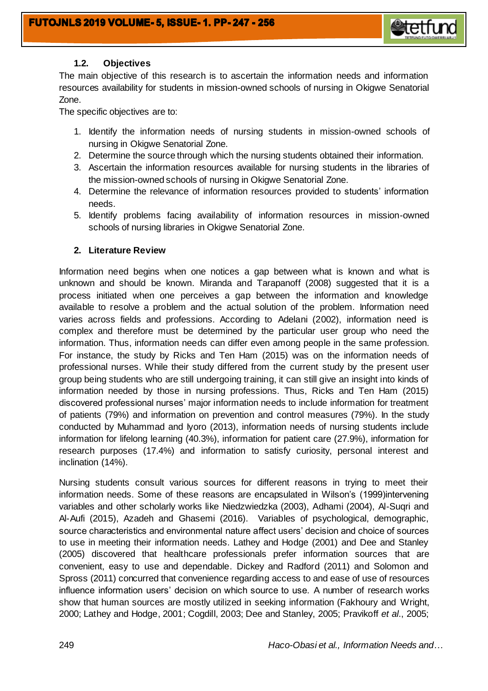

# **1.2. Objectives**

The main objective of this research is to ascertain the information needs and information resources availability for students in mission-owned schools of nursing in Okigwe Senatorial Zone.

The specific objectives are to:

- 1. Identify the information needs of nursing students in mission-owned schools of nursing in Okigwe Senatorial Zone.
- 2. Determine the source through which the nursing students obtained their information.
- 3. Ascertain the information resources available for nursing students in the libraries of the mission-owned schools of nursing in Okigwe Senatorial Zone.
- 4. Determine the relevance of information resources provided to students' information needs.
- 5. Identify problems facing availability of information resources in mission-owned schools of nursing libraries in Okigwe Senatorial Zone.

# **2. Literature Review**

Information need begins when one notices a gap between what is known and what is unknown and should be known. Miranda and Tarapanoff (2008) suggested that it is a process initiated when one perceives a gap between the information and knowledge available to resolve a problem and the actual solution of the problem. Information need varies across fields and professions. According to Adelani (2002), information need is complex and therefore must be determined by the particular user group who need the information. Thus, information needs can differ even among people in the same profession. For instance, the study by Ricks and Ten Ham (2015) was on the information needs of professional nurses. While their study differed from the current study by the present user group being students who are still undergoing training, it can still give an insight into kinds of information needed by those in nursing professions. Thus, Ricks and Ten Ham (2015) discovered professional nurses' major information needs to include information for treatment of patients (79%) and information on prevention and control measures (79%). In the study conducted by Muhammad and Iyoro (2013), information needs of nursing students include information for lifelong learning (40.3%), information for patient care (27.9%), information for research purposes (17.4%) and information to satisfy curiosity, personal interest and inclination (14%).

Nursing students consult various sources for different reasons in trying to meet their information needs. Some of these reasons are encapsulated in Wilson's (1999)intervening variables and other scholarly works like Niedzwiedzka (2003), Adhami (2004), Al-Suqri and Al-Aufi (2015), Azadeh and Ghasemi (2016). Variables of psychological, demographic, source characteristics and environmental nature affect users' decision and choice of sources to use in meeting their information needs. Lathey and Hodge (2001) and Dee and Stanley (2005) discovered that healthcare professionals prefer information sources that are convenient, easy to use and dependable. Dickey and Radford (2011) and Solomon and Spross (2011) concurred that convenience regarding access to and ease of use of resources influence information users' decision on which source to use. A number of research works show that human sources are mostly utilized in seeking information (Fakhoury and Wright, 2000; Lathey and Hodge, 2001; Cogdill, 2003; Dee and Stanley, 2005; Pravikoff *et al*., 2005;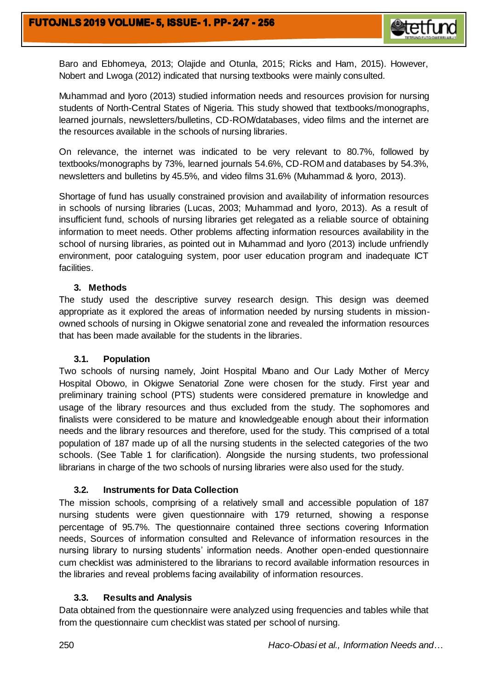

Baro and Ebhomeya, 2013; Olajide and Otunla, 2015; Ricks and Ham, 2015). However, Nobert and Lwoga (2012) indicated that nursing textbooks were mainly consulted.

Muhammad and Iyoro (2013) studied information needs and resources provision for nursing students of North-Central States of Nigeria. This study showed that textbooks/monographs, learned journals, newsletters/bulletins, CD-ROM/databases, video films and the internet are the resources available in the schools of nursing libraries.

On relevance, the internet was indicated to be very relevant to 80.7%, followed by textbooks/monographs by 73%, learned journals 54.6%, CD-ROM and databases by 54.3%, newsletters and bulletins by 45.5%, and video films 31.6% (Muhammad & Iyoro, 2013).

Shortage of fund has usually constrained provision and availability of information resources in schools of nursing libraries (Lucas, 2003; Muhammad and Iyoro, 2013). As a result of insufficient fund, schools of nursing libraries get relegated as a reliable source of obtaining information to meet needs. Other problems affecting information resources availability in the school of nursing libraries, as pointed out in Muhammad and Iyoro (2013) include unfriendly environment, poor cataloguing system, poor user education program and inadequate ICT facilities.

## **3. Methods**

The study used the descriptive survey research design. This design was deemed appropriate as it explored the areas of information needed by nursing students in missionowned schools of nursing in Okigwe senatorial zone and revealed the information resources that has been made available for the students in the libraries.

#### **3.1. Population**

Two schools of nursing namely, Joint Hospital Mbano and Our Lady Mother of Mercy Hospital Obowo, in Okigwe Senatorial Zone were chosen for the study. First year and preliminary training school (PTS) students were considered premature in knowledge and usage of the library resources and thus excluded from the study. The sophomores and finalists were considered to be mature and knowledgeable enough about their information needs and the library resources and therefore, used for the study. This comprised of a total population of 187 made up of all the nursing students in the selected categories of the two schools. (See Table 1 for clarification). Alongside the nursing students, two professional librarians in charge of the two schools of nursing libraries were also used for the study.

# **3.2. Instruments for Data Collection**

The mission schools, comprising of a relatively small and accessible population of 187 nursing students were given questionnaire with 179 returned, showing a response percentage of 95.7%. The questionnaire contained three sections covering Information needs, Sources of information consulted and Relevance of information resources in the nursing library to nursing students' information needs. Another open-ended questionnaire cum checklist was administered to the librarians to record available information resources in the libraries and reveal problems facing availability of information resources.

#### **3.3. Results and Analysis**

Data obtained from the questionnaire were analyzed using frequencies and tables while that from the questionnaire cum checklist was stated per school of nursing.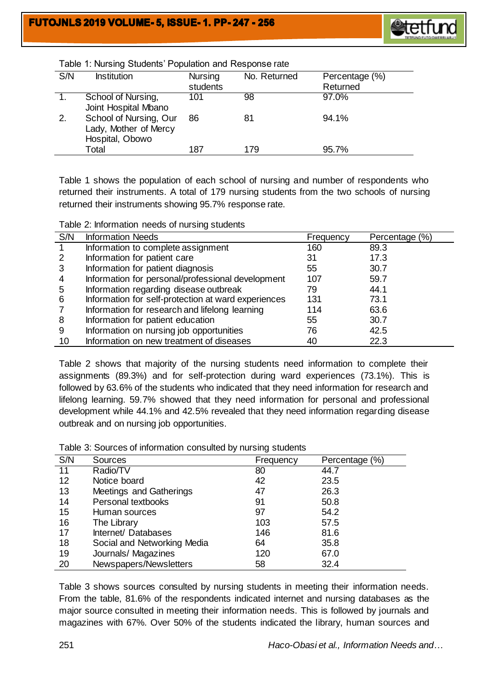

| S/N | <b>Institution</b>                                                 | <b>Nursing</b><br>students | No. Returned | Percentage (%)<br>Returned |
|-----|--------------------------------------------------------------------|----------------------------|--------------|----------------------------|
|     | School of Nursing,<br>Joint Hospital Mbano                         | 101                        | 98           | 97.0%                      |
| 2.  | School of Nursing, Our<br>Lady, Mother of Mercy<br>Hospital, Obowo | 86                         | 81           | 94.1%                      |
|     | Total                                                              | 187                        | 179          | 95.7%                      |

Table 1: Nursing Students' Population and Response rate

Table 1 shows the population of each school of nursing and number of respondents who returned their instruments. A total of 179 nursing students from the two schools of nursing returned their instruments showing 95.7% response rate.

Table 2: Information needs of nursing students

| S/N            | <b>Information Needs</b>                            | Frequency | Percentage (%) |
|----------------|-----------------------------------------------------|-----------|----------------|
|                | Information to complete assignment                  | 160       | 89.3           |
| 2              | Information for patient care                        | 31        | 17.3           |
| 3              | Information for patient diagnosis                   | 55        | 30.7           |
| $\overline{4}$ | Information for personal/professional development   | 107       | 59.7           |
| 5              | Information regarding disease outbreak              | 79        | 44.1           |
| 6              | Information for self-protection at ward experiences | 131       | 73.1           |
| 7              | Information for research and lifelong learning      | 114       | 63.6           |
| 8              | Information for patient education                   | 55        | 30.7           |
| 9              | Information on nursing job opportunities            | 76        | 42.5           |
| 10             | Information on new treatment of diseases            | 40        | 22.3           |

Table 2 shows that majority of the nursing students need information to complete their assignments (89.3%) and for self-protection during ward experiences (73.1%). This is followed by 63.6% of the students who indicated that they need information for research and lifelong learning. 59.7% showed that they need information for personal and professional development while 44.1% and 42.5% revealed that they need information regarding disease outbreak and on nursing job opportunities.

Table 3: Sources of information consulted by nursing students

| S/N | Sources                     | Frequency | Percentage (%) |
|-----|-----------------------------|-----------|----------------|
| 11  | Radio/TV                    | 80        | 44.7           |
| 12  | Notice board                | 42        | 23.5           |
| 13  | Meetings and Gatherings     | 47        | 26.3           |
| 14  | Personal textbooks          | 91        | 50.8           |
| 15  | Human sources               | 97        | 54.2           |
| 16  | The Library                 | 103       | 57.5           |
| 17  | Internet/ Databases         | 146       | 81.6           |
| 18  | Social and Networking Media | 64        | 35.8           |
| 19  | Journals/ Magazines         | 120       | 67.0           |
| 20  | Newspapers/Newsletters      | 58        | 32.4           |

Table 3 shows sources consulted by nursing students in meeting their information needs. From the table, 81.6% of the respondents indicated internet and nursing databases as the major source consulted in meeting their information needs. This is followed by journals and magazines with 67%. Over 50% of the students indicated the library, human sources and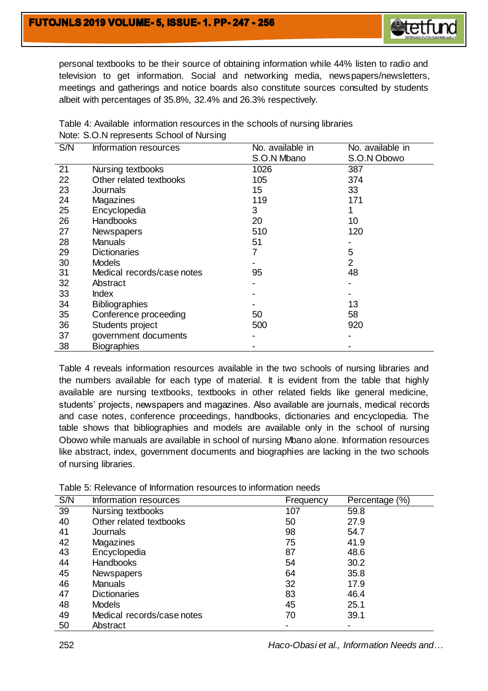

personal textbooks to be their source of obtaining information while 44% listen to radio and television to get information. Social and networking media, newspapers/newsletters, meetings and gatherings and notice boards also constitute sources consulted by students albeit with percentages of 35.8%, 32.4% and 26.3% respectively.

| S/N | Information resources      | No. available in | No. available in |
|-----|----------------------------|------------------|------------------|
|     |                            | S.O.N Mbano      | S.O.N Obowo      |
| 21  | Nursing textbooks          | 1026             | 387              |
| 22  | Other related textbooks    | 105              | 374              |
| 23  | <b>Journals</b>            | 15               | 33               |
| 24  | Magazines                  | 119              | 171              |
| 25  | Encyclopedia               | 3                |                  |
| 26  | <b>Handbooks</b>           | 20               | 10               |
| 27  | <b>Newspapers</b>          | 510              | 120              |
| 28  | <b>Manuals</b>             | 51               |                  |
| 29  | <b>Dictionaries</b>        |                  | 5                |
| 30  | <b>Models</b>              |                  | $\overline{2}$   |
| 31  | Medical records/case notes | 95               | 48               |
| 32  | Abstract                   |                  |                  |
| 33  | <b>Index</b>               |                  |                  |
| 34  | <b>Bibliographies</b>      |                  | 13               |
| 35  | Conference proceeding      | 50               | 58               |
| 36  | Students project           | 500              | 920              |
| 37  | government documents       |                  |                  |
| 38  | <b>Biographies</b>         |                  |                  |

Table 4: Available information resources in the schools of nursing libraries Note: S.O.N represents School of Nursing

Table 4 reveals information resources available in the two schools of nursing libraries and the numbers available for each type of material. It is evident from the table that highly available are nursing textbooks, textbooks in other related fields like general medicine, students' projects, newspapers and magazines. Also available are journals, medical records and case notes, conference proceedings, handbooks, dictionaries and encyclopedia. The table shows that bibliographies and models are available only in the school of nursing Obowo while manuals are available in school of nursing Mbano alone. Information resources like abstract, index, government documents and biographies are lacking in the two schools of nursing libraries.

| S/N | Information resources      | Frequency | Percentage (%) |
|-----|----------------------------|-----------|----------------|
| 39  | Nursing textbooks          | 107       | 59.8           |
| 40  | Other related textbooks    | 50        | 27.9           |
| 41  | Journals                   | 98        | 54.7           |
| 42  | Magazines                  | 75        | 41.9           |
| 43  | Encyclopedia               | 87        | 48.6           |
| 44  | <b>Handbooks</b>           | 54        | 30.2           |
| 45  | Newspapers                 | 64        | 35.8           |
| 46  | <b>Manuals</b>             | 32        | 17.9           |
| 47  | <b>Dictionaries</b>        | 83        | 46.4           |
| 48  | <b>Models</b>              | 45        | 25.1           |
| 49  | Medical records/case notes | 70        | 39.1           |
| 50  | Abstract                   |           |                |

Table 5: Relevance of Information resources to information needs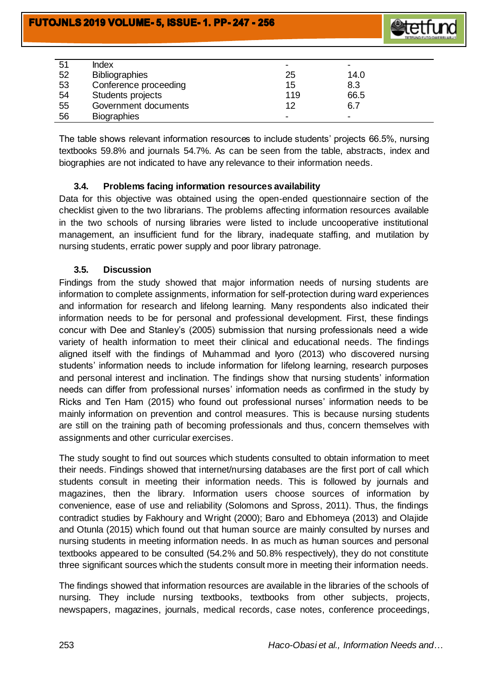

| 51 | <b>Index</b>          |     | $\,$ |
|----|-----------------------|-----|------|
| 52 | <b>Bibliographies</b> | 25  | 14.0 |
| 53 | Conference proceeding | 15  | 8.3  |
| 54 | Students projects     | 119 | 66.5 |
| 55 | Government documents  | 12  | 6.7  |
| 56 | <b>Biographies</b>    |     | $\,$ |

The table shows relevant information resources to include students' projects 66.5%, nursing textbooks 59.8% and journals 54.7%. As can be seen from the table, abstracts, index and biographies are not indicated to have any relevance to their information needs.

## **3.4. Problems facing information resources availability**

Data for this objective was obtained using the open-ended questionnaire section of the checklist given to the two librarians. The problems affecting information resources available in the two schools of nursing libraries were listed to include uncooperative institutional management, an insufficient fund for the library, inadequate staffing, and mutilation by nursing students, erratic power supply and poor library patronage.

## **3.5. Discussion**

Findings from the study showed that major information needs of nursing students are information to complete assignments, information for self-protection during ward experiences and information for research and lifelong learning. Many respondents also indicated their information needs to be for personal and professional development. First, these findings concur with Dee and Stanley's (2005) submission that nursing professionals need a wide variety of health information to meet their clinical and educational needs. The findings aligned itself with the findings of Muhammad and Iyoro (2013) who discovered nursing students' information needs to include information for lifelong learning, research purposes and personal interest and inclination. The findings show that nursing students' information needs can differ from professional nurses' information needs as confirmed in the study by Ricks and Ten Ham (2015) who found out professional nurses' information needs to be mainly information on prevention and control measures. This is because nursing students are still on the training path of becoming professionals and thus, concern themselves with assignments and other curricular exercises.

The study sought to find out sources which students consulted to obtain information to meet their needs. Findings showed that internet/nursing databases are the first port of call which students consult in meeting their information needs. This is followed by journals and magazines, then the library. Information users choose sources of information by convenience, ease of use and reliability (Solomons and Spross, 2011). Thus, the findings contradict studies by Fakhoury and Wright (2000); Baro and Ebhomeya (2013) and Olajide and Otunla (2015) which found out that human source are mainly consulted by nurses and nursing students in meeting information needs. In as much as human sources and personal textbooks appeared to be consulted (54.2% and 50.8% respectively), they do not constitute three significant sources which the students consult more in meeting their information needs.

The findings showed that information resources are available in the libraries of the schools of nursing. They include nursing textbooks, textbooks from other subjects, projects, newspapers, magazines, journals, medical records, case notes, conference proceedings,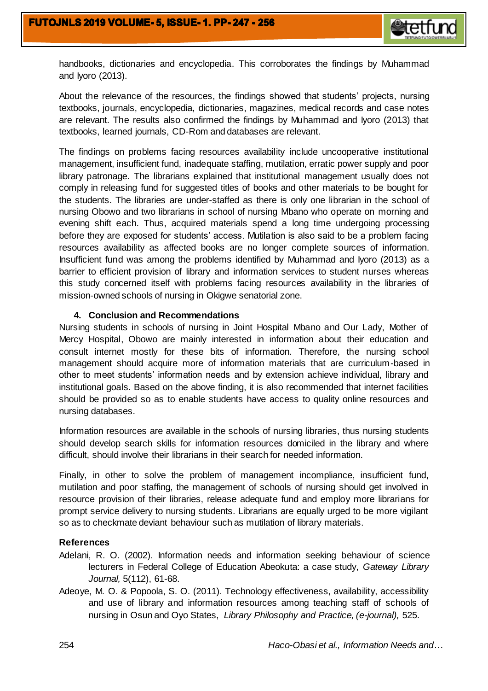

handbooks, dictionaries and encyclopedia. This corroborates the findings by Muhammad and Iyoro (2013).

About the relevance of the resources, the findings showed that students' projects, nursing textbooks, journals, encyclopedia, dictionaries, magazines, medical records and case notes are relevant. The results also confirmed the findings by Muhammad and Iyoro (2013) that textbooks, learned journals, CD-Rom and databases are relevant.

The findings on problems facing resources availability include uncooperative institutional management, insufficient fund, inadequate staffing, mutilation, erratic power supply and poor library patronage. The librarians explained that institutional management usually does not comply in releasing fund for suggested titles of books and other materials to be bought for the students. The libraries are under-staffed as there is only one librarian in the school of nursing Obowo and two librarians in school of nursing Mbano who operate on morning and evening shift each. Thus, acquired materials spend a long time undergoing processing before they are exposed for students' access. Mutilation is also said to be a problem facing resources availability as affected books are no longer complete sources of information. Insufficient fund was among the problems identified by Muhammad and Iyoro (2013) as a barrier to efficient provision of library and information services to student nurses whereas this study concerned itself with problems facing resources availability in the libraries of mission-owned schools of nursing in Okigwe senatorial zone.

#### **4. Conclusion and Recommendations**

Nursing students in schools of nursing in Joint Hospital Mbano and Our Lady, Mother of Mercy Hospital, Obowo are mainly interested in information about their education and consult internet mostly for these bits of information. Therefore, the nursing school management should acquire more of information materials that are curriculum-based in other to meet students' information needs and by extension achieve individual, library and institutional goals. Based on the above finding, it is also recommended that internet facilities should be provided so as to enable students have access to quality online resources and nursing databases.

Information resources are available in the schools of nursing libraries, thus nursing students should develop search skills for information resources domiciled in the library and where difficult, should involve their librarians in their search for needed information.

Finally, in other to solve the problem of management incompliance, insufficient fund, mutilation and poor staffing, the management of schools of nursing should get involved in resource provision of their libraries, release adequate fund and employ more librarians for prompt service delivery to nursing students. Librarians are equally urged to be more vigilant so as to checkmate deviant behaviour such as mutilation of library materials.

#### **References**

- Adelani, R. O. (2002). Information needs and information seeking behaviour of science lecturers in Federal College of Education Abeokuta: a case study, *Gateway Library Journal,* 5(112), 61-68.
- Adeoye, M. O. & Popoola, S. O. (2011). Technology effectiveness, availability, accessibility and use of library and information resources among teaching staff of schools of nursing in Osun and Oyo States, *Library Philosophy and Practice, (e-journal),* 525.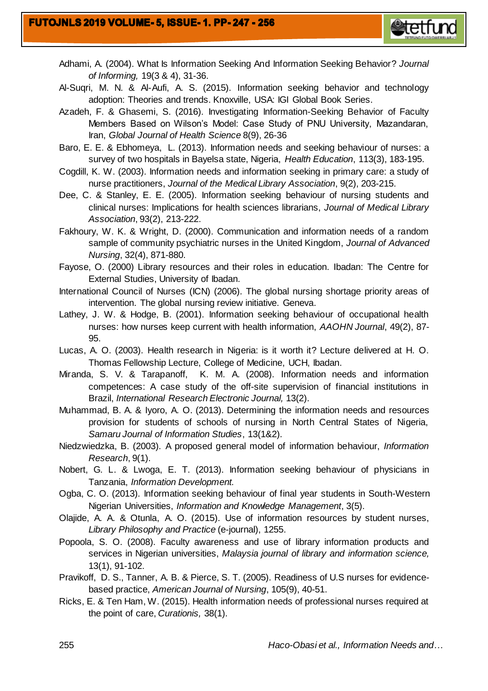

- Adhami, A. (2004). What Is Information Seeking And Information Seeking Behavior? *Journal of Informing,* 19(3 & 4), 31-36.
- Al-Suqri, M. N. & Al-Aufi, A. S. (2015). Information seeking behavior and technology adoption: Theories and trends. Knoxville, USA: IGI Global Book Series.
- Azadeh, F. & Ghasemi, S. (2016). Investigating Information-Seeking Behavior of Faculty Members Based on Wilson's Model: Case Study of PNU University, Mazandaran, Iran, *Global Journal of Health Science* 8(9), 26-36
- Baro, E. E. & Ebhomeya, L. (2013). Information needs and seeking behaviour of nurses: a survey of two hospitals in Bayelsa state, Nigeria, *Health Education*, 113(3), 183-195.
- Cogdill, K. W. (2003). Information needs and information seeking in primary care: a study of nurse practitioners, *Journal of the Medical Library Association*, 9(2), 203-215.
- Dee, C. & Stanley, E. E. (2005). Information seeking behaviour of nursing students and clinical nurses: Implications for health sciences librarians, *Journal of Medical Library Association*, 93(2), 213-222.
- Fakhoury, W. K. & Wright, D. (2000). Communication and information needs of a random sample of community psychiatric nurses in the United Kingdom, *Journal of Advanced Nursing*, 32(4), 871-880.
- Fayose, O. (2000) Library resources and their roles in education. Ibadan: The Centre for External Studies, University of Ibadan.
- International Council of Nurses (ICN) (2006). The global nursing shortage priority areas of intervention. The global nursing review initiative. Geneva.
- Lathey, J. W. & Hodge, B. (2001). Information seeking behaviour of occupational health nurses: how nurses keep current with health information, *AAOHN Journal*, 49(2), 87- 95.
- Lucas, A. O. (2003). Health research in Nigeria: is it worth it? Lecture delivered at H. O. Thomas Fellowship Lecture, College of Medicine, UCH, Ibadan.
- Miranda, S. V. & Tarapanoff, K. M. A. (2008). Information needs and information competences: A case study of the off-site supervision of financial institutions in Brazil, *International Research Electronic Journal,* 13(2).
- Muhammad, B. A. & Iyoro, A. O. (2013). Determining the information needs and resources provision for students of schools of nursing in North Central States of Nigeria, *Samaru Journal of Information Studies*, 13(1&2).
- Niedzwiedzka, B. (2003). A proposed general model of information behaviour, *Information Research*, 9(1).
- Nobert, G. L. & Lwoga, E. T. (2013). Information seeking behaviour of physicians in Tanzania, *Information Development.*
- Ogba, C. O. (2013). Information seeking behaviour of final year students in South-Western Nigerian Universities, *Information and Knowledge Management*, 3(5).
- Olajide, A. A. & Otunla, A. O. (2015). Use of information resources by student nurses, *Library Philosophy and Practice* (e-journal), 1255.
- Popoola, S. O. (2008). Faculty awareness and use of library information products and services in Nigerian universities, *Malaysia journal of library and information science,*  13(1), 91-102.
- Pravikoff, D. S., Tanner, A. B. & Pierce, S. T. (2005). Readiness of U.S nurses for evidencebased practice, *American Journal of Nursing*, 105(9), 40-51.
- Ricks, E. & Ten Ham, W. (2015). Health information needs of professional nurses required at the point of care, *Curationis,* 38(1).